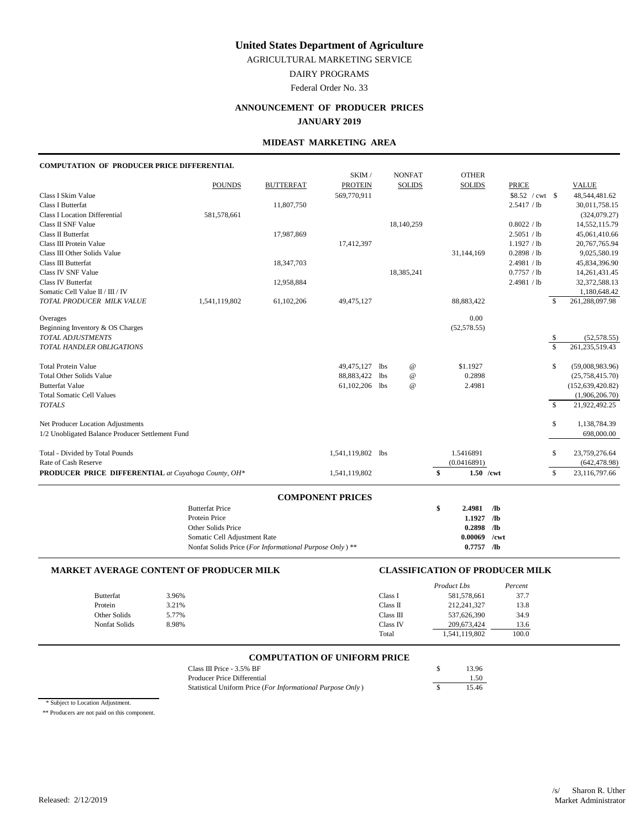AGRICULTURAL MARKETING SERVICE

DAIRY PROGRAMS

Federal Order No. 33

# **ANNOUNCEMENT OF PRODUCER PRICES**

## **JANUARY 2019**

## **MIDEAST MARKETING AREA**

#### **COMPUTATION OF PRODUCER PRICE DIFFERENTIAL**

|                                                     |                                                                                        |                  | SKIM /                  |     | <b>NONFAT</b>             | <b>OTHER</b>           |                                    |                         |                    |
|-----------------------------------------------------|----------------------------------------------------------------------------------------|------------------|-------------------------|-----|---------------------------|------------------------|------------------------------------|-------------------------|--------------------|
|                                                     | <b>POUNDS</b>                                                                          | <b>BUTTERFAT</b> | <b>PROTEIN</b>          |     | <b>SOLIDS</b>             | <b>SOLIDS</b>          | <b>PRICE</b>                       |                         | <b>VALUE</b>       |
| Class I Skim Value                                  |                                                                                        |                  | 569,770,911             |     |                           |                        | \$8.52 / cwt \$                    |                         | 48,544,481.62      |
| Class I Butterfat                                   |                                                                                        | 11,807,750       |                         |     |                           |                        | 2.5417 / lb                        |                         | 30,011,758.15      |
| <b>Class I Location Differential</b>                | 581,578,661                                                                            |                  |                         |     |                           |                        |                                    |                         | (324,079.27)       |
| Class II SNF Value                                  |                                                                                        |                  |                         |     | 18,140,259                |                        | 0.8022 / lb                        |                         | 14,552,115.79      |
| Class II Butterfat                                  |                                                                                        | 17,987,869       |                         |     |                           |                        | 2.5051 / lb                        |                         | 45,061,410.66      |
| Class III Protein Value                             |                                                                                        |                  | 17,412,397              |     |                           |                        | 1.1927 / lb                        |                         | 20,767,765.94      |
| Class III Other Solids Value                        |                                                                                        |                  |                         |     |                           | 31,144,169             | 0.2898 / lb                        |                         | 9,025,580.19       |
| Class III Butterfat                                 |                                                                                        | 18,347,703       |                         |     |                           |                        | 2.4981 / lb                        |                         | 45,834,396.90      |
| Class IV SNF Value                                  |                                                                                        |                  |                         |     | 18,385,241                |                        | 0.7757 / lb                        |                         | 14, 261, 431. 45   |
| <b>Class IV Butterfat</b>                           |                                                                                        | 12,958,884       |                         |     |                           |                        | 2.4981 / lb                        |                         | 32,372,588.13      |
| Somatic Cell Value II / III / IV                    |                                                                                        |                  |                         |     |                           |                        |                                    |                         | 1,180,648.42       |
| TOTAL PRODUCER MILK VALUE                           | 1,541,119,802                                                                          | 61,102,206       | 49,475,127              |     |                           | 88, 883, 422           |                                    | $\mathcal{S}$           | 261,288,097.98     |
| Overages                                            |                                                                                        |                  |                         |     |                           | 0.00                   |                                    |                         |                    |
| Beginning Inventory & OS Charges                    |                                                                                        |                  |                         |     |                           | (52, 578.55)           |                                    |                         |                    |
| TOTAL ADJUSTMENTS                                   |                                                                                        |                  |                         |     |                           |                        |                                    | \$                      | (52, 578.55)       |
| TOTAL HANDLER OBLIGATIONS                           |                                                                                        |                  |                         |     |                           |                        |                                    | $\overline{\mathbf{s}}$ | 261, 235, 519. 43  |
| <b>Total Protein Value</b>                          |                                                                                        |                  | 49,475,127              | lbs | $^\text{\textregistered}$ | \$1.1927               |                                    | \$                      | (59,008,983.96)    |
| <b>Total Other Solids Value</b>                     |                                                                                        |                  | 88,883,422              | lbs | $^\text{\textregistered}$ | 0.2898                 |                                    |                         | (25,758,415.70)    |
| <b>Butterfat Value</b>                              |                                                                                        |                  | 61,102,206 lbs          |     | $^\text{\textregistered}$ | 2.4981                 |                                    |                         | (152, 639, 420.82) |
| <b>Total Somatic Cell Values</b>                    |                                                                                        |                  |                         |     |                           |                        |                                    |                         | (1,906,206.70)     |
| <b>TOTALS</b>                                       |                                                                                        |                  |                         |     |                           |                        |                                    | $\mathbb{S}$            | 21,922,492.25      |
| Net Producer Location Adjustments                   |                                                                                        |                  |                         |     |                           |                        |                                    | \$                      | 1,138,784.39       |
| 1/2 Unobligated Balance Producer Settlement Fund    |                                                                                        |                  |                         |     |                           |                        |                                    |                         | 698,000.00         |
| Total - Divided by Total Pounds                     |                                                                                        |                  | 1,541,119,802 lbs       |     |                           | 1.5416891              |                                    | \$                      | 23,759,276.64      |
| Rate of Cash Reserve                                |                                                                                        |                  |                         |     |                           | (0.0416891)            |                                    |                         | (642, 478.98)      |
| PRODUCER PRICE DIFFERENTIAL at Cuyahoga County, OH* |                                                                                        |                  | 1,541,119,802           |     |                           | \$<br>$1.50$ /cwt      |                                    | \$                      | 23,116,797.66      |
|                                                     |                                                                                        |                  |                         |     |                           |                        |                                    |                         |                    |
|                                                     |                                                                                        |                  | <b>COMPONENT PRICES</b> |     |                           |                        |                                    |                         |                    |
|                                                     | <b>Butterfat Price</b><br>Protein Price                                                |                  |                         |     |                           | \$<br>2.4981<br>1.1927 | /1 <sub>b</sub><br>/1 <sub>b</sub> |                         |                    |
|                                                     |                                                                                        |                  |                         |     |                           | 0.2898                 | $\sqrt{a}$                         |                         |                    |
|                                                     | Other Solids Price                                                                     |                  |                         |     |                           | 0.00069                | $/$ cwt                            |                         |                    |
|                                                     | Somatic Cell Adjustment Rate<br>Nonfat Solids Price (For Informational Purpose Only)** |                  |                         |     |                           | $0.7757$ /lb           |                                    |                         |                    |
|                                                     |                                                                                        |                  |                         |     |                           |                        |                                    |                         |                    |

### **MARKET AVERAGE CONTENT OF PRODUCER MILK CLASSIFICATION OF PRODUCER MILK**

|               |       |           | Product Lbs   | Percent |
|---------------|-------|-----------|---------------|---------|
| Butterfat     | 3.96% | Class I   | 581,578,661   | 37.7    |
| Protein       | 3.21% | Class II  | 212,241,327   | 13.8    |
| Other Solids  | 5.77% | Class III | 537,626,390   | 34.9    |
| Nonfat Solids | 8.98% | Class IV  | 209.673.424   | 13.6    |
|               |       | Total     | 1,541,119,802 | 100.0   |

# **COMPUTATION OF UNIFORM PRICE**

| Class III Price $-3.5\%$ BF                                | 13.96 |
|------------------------------------------------------------|-------|
| Producer Price Differential                                | 1.50  |
| Statistical Uniform Price (For Informational Purpose Only) | 15.46 |

\* Subject to Location Adjustment.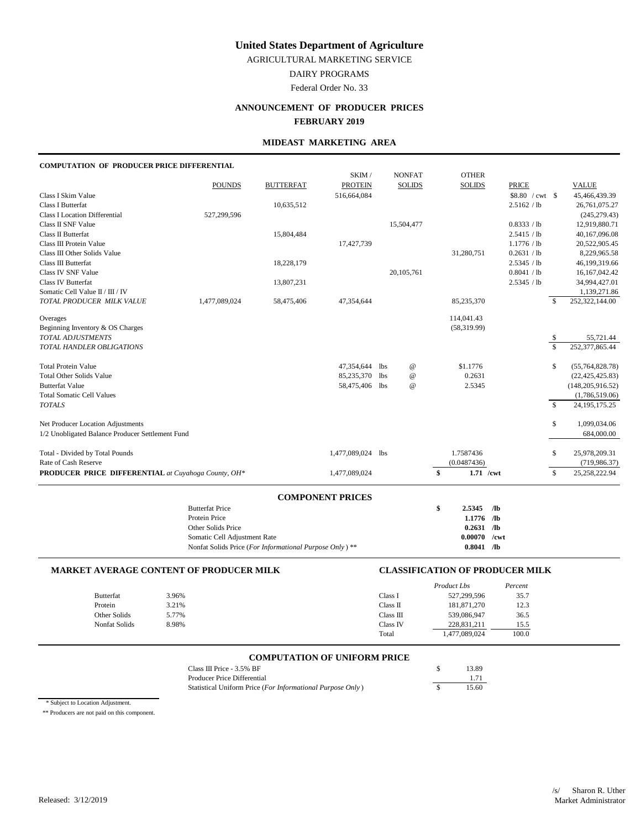AGRICULTURAL MARKETING SERVICE

DAIRY PROGRAMS

Federal Order No. 33

# **ANNOUNCEMENT OF PRODUCER PRICES**

# **FEBRUARY 2019**

## **MIDEAST MARKETING AREA**

### **COMPUTATION OF PRODUCER PRICE DIFFERENTIAL**

|                                                     |                                                         |                  | SKIM /                  |            | <b>NONFAT</b>             | <b>OTHER</b>      |                 |                    |                    |
|-----------------------------------------------------|---------------------------------------------------------|------------------|-------------------------|------------|---------------------------|-------------------|-----------------|--------------------|--------------------|
|                                                     | <b>POUNDS</b>                                           | <b>BUTTERFAT</b> | <b>PROTEIN</b>          |            | <b>SOLIDS</b>             | <b>SOLIDS</b>     | <b>PRICE</b>    |                    | <b>VALUE</b>       |
| Class I Skim Value                                  |                                                         |                  | 516,664,084             |            |                           |                   | \$8.80 / cwt \$ |                    | 45,466,439.39      |
| <b>Class I Butterfat</b>                            |                                                         | 10,635,512       |                         |            |                           |                   | 2.5162 / lb     |                    | 26,761,075.27      |
| <b>Class I Location Differential</b>                | 527,299,596                                             |                  |                         |            |                           |                   |                 |                    | (245, 279.43)      |
| Class II SNF Value                                  |                                                         |                  |                         |            | 15,504,477                |                   | 0.8333 / lb     |                    | 12,919,880.71      |
| Class II Butterfat                                  |                                                         | 15,804,484       |                         |            |                           |                   | 2.5415 / lb     |                    | 40,167,096.08      |
| Class III Protein Value                             |                                                         |                  | 17,427,739              |            |                           |                   | 1.1776 / lb     |                    | 20,522,905.45      |
| Class III Other Solids Value                        |                                                         |                  |                         |            |                           | 31,280,751        | 0.2631 / lb     |                    | 8,229,965.58       |
| Class III Butterfat                                 |                                                         | 18,228,179       |                         |            |                           |                   | 2.5345 / lb     |                    | 46,199,319.66      |
| Class IV SNF Value                                  |                                                         |                  |                         |            | 20.105.761                |                   | 0.8041 / lb     |                    | 16,167,042.42      |
| Class IV Butterfat                                  |                                                         | 13,807,231       |                         |            |                           |                   | 2.5345 / lb     |                    | 34,994,427.01      |
| Somatic Cell Value II / III / IV                    |                                                         |                  |                         |            |                           |                   |                 |                    | 1,139,271.86       |
| TOTAL PRODUCER MILK VALUE                           | 1,477,089,024                                           | 58,475,406       | 47,354,644              |            |                           | 85,235,370        |                 | $\mathcal{S}$      | 252,322,144.00     |
| Overages                                            |                                                         |                  |                         |            |                           | 114,041.43        |                 |                    |                    |
| Beginning Inventory & OS Charges                    |                                                         |                  |                         |            |                           | (58, 319.99)      |                 |                    |                    |
| <b>TOTAL ADJUSTMENTS</b>                            |                                                         |                  |                         |            |                           |                   |                 | \$                 | 55,721.44          |
| TOTAL HANDLER OBLIGATIONS                           |                                                         |                  |                         |            |                           |                   |                 | $\mathbb{S}$       | 252,377,865.44     |
| <b>Total Protein Value</b>                          |                                                         |                  | 47,354,644              | <b>lbs</b> | $^\text{\textregistered}$ | \$1.1776          |                 | \$                 | (55,764,828.78)    |
| <b>Total Other Solids Value</b>                     |                                                         |                  | 85,235,370              | <b>lbs</b> | $^\text{\textregistered}$ | 0.2631            |                 |                    | (22, 425, 425.83)  |
| <b>Butterfat Value</b>                              |                                                         |                  | 58,475,406 lbs          |            | $\omega$                  | 2.5345            |                 |                    | (148, 205, 916.52) |
| <b>Total Somatic Cell Values</b>                    |                                                         |                  |                         |            |                           |                   |                 |                    | (1,786,519.06)     |
| <b>TOTALS</b>                                       |                                                         |                  |                         |            |                           |                   |                 | $\mathbf{\hat{S}}$ | 24, 195, 175. 25   |
| Net Producer Location Adjustments                   |                                                         |                  |                         |            |                           |                   |                 | \$                 | 1,099,034.06       |
| 1/2 Unobligated Balance Producer Settlement Fund    |                                                         |                  |                         |            |                           |                   |                 |                    | 684,000.00         |
| Total - Divided by Total Pounds                     |                                                         |                  | 1,477,089,024 lbs       |            |                           | 1.7587436         |                 | \$                 | 25,978,209.31      |
| Rate of Cash Reserve                                |                                                         |                  |                         |            |                           | (0.0487436)       |                 |                    | (719, 986.37)      |
| PRODUCER PRICE DIFFERENTIAL at Cuyahoga County, OH* |                                                         |                  | 1,477,089,024           |            |                           | \$<br>$1.71$ /cwt |                 | $\mathbf{\hat{S}}$ | 25,258,222.94      |
|                                                     |                                                         |                  |                         |            |                           |                   |                 |                    |                    |
|                                                     | <b>Butterfat Price</b>                                  |                  | <b>COMPONENT PRICES</b> |            |                           | \$<br>2.5345      | /1 <sub>b</sub> |                    |                    |
|                                                     | Protein Price                                           |                  |                         |            |                           | 1.1776 /lb        |                 |                    |                    |
|                                                     | Other Solids Price                                      |                  |                         |            |                           | $0.2631$ /lb      |                 |                    |                    |
|                                                     | Somatic Cell Adjustment Rate                            |                  |                         |            |                           | 0.00070           | /cwt            |                    |                    |
|                                                     | Nonfat Solids Price (For Informational Purpose Only) ** |                  |                         |            |                           | $0.8041$ /lb      |                 |                    |                    |
|                                                     |                                                         |                  |                         |            |                           |                   |                 |                    |                    |

#### **MARKET AVERAGE CONTENT OF PRODUCER MILK CLASSIFICATION OF PRODUCER MILK**

|                  |       |           | Product Lbs   | Percent |
|------------------|-------|-----------|---------------|---------|
| <b>Butterfat</b> | 3.96% | Class I   | 527,299,596   | 35.7    |
| Protein          | 3.21% | Class II  | 181,871,270   | 12.3    |
| Other Solids     | 5.77% | Class III | 539,086,947   | 36.5    |
| Nonfat Solids    | 8.98% | Class IV  | 228,831,211   | 15.5    |
|                  |       | Total     | 1,477,089,024 | 100.0   |

# **COMPUTATION OF UNIFORM PRICE**

| Class III Price $-3.5\%$ BF                                | 13.89 |
|------------------------------------------------------------|-------|
| Producer Price Differential                                | 1 7 1 |
| Statistical Uniform Price (For Informational Purpose Only) | 15.60 |

\* Subject to Location Adjustment.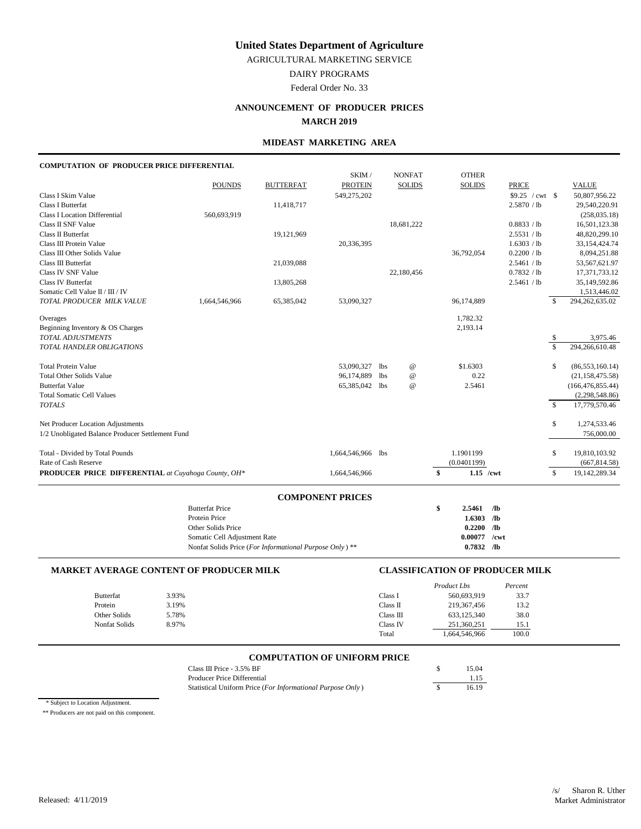AGRICULTURAL MARKETING SERVICE

DAIRY PROGRAMS

Federal Order No. 33

# **ANNOUNCEMENT OF PRODUCER PRICES**

### **MARCH 2019**

## **MIDEAST MARKETING AREA**

#### **COMPUTATION OF PRODUCER PRICE DIFFERENTIAL**

|                                                     |                                                         |                  | SKIM /                  |     | <b>NONFAT</b>   | <b>OTHER</b>         |                  |                    |                     |
|-----------------------------------------------------|---------------------------------------------------------|------------------|-------------------------|-----|-----------------|----------------------|------------------|--------------------|---------------------|
|                                                     | <b>POUNDS</b>                                           | <b>BUTTERFAT</b> | <b>PROTEIN</b>          |     | <b>SOLIDS</b>   | <b>SOLIDS</b>        | <b>PRICE</b>     |                    | <b>VALUE</b>        |
| Class I Skim Value                                  |                                                         |                  | 549,275,202             |     |                 |                      | $$9.25$ / cwt \$ |                    | 50,807,956.22       |
| <b>Class I Butterfat</b>                            |                                                         | 11,418,717       |                         |     |                 |                      | 2.5870 / lb      |                    | 29,540,220.91       |
| <b>Class I Location Differential</b>                | 560,693,919                                             |                  |                         |     |                 |                      |                  |                    | (258, 035.18)       |
| Class II SNF Value                                  |                                                         |                  |                         |     | 18,681,222      |                      | 0.8833 / lb      |                    | 16,501,123.38       |
| Class II Butterfat                                  |                                                         | 19,121,969       |                         |     |                 |                      | 2.5531 / lb      |                    | 48,820,299.10       |
| Class III Protein Value                             |                                                         |                  | 20,336,395              |     |                 |                      | 1.6303 / lb      |                    | 33,154,424.74       |
| Class III Other Solids Value                        |                                                         |                  |                         |     |                 | 36,792,054           | 0.2200 / lb      |                    | 8,094,251.88        |
| Class III Butterfat                                 |                                                         | 21,039,088       |                         |     |                 |                      | 2.5461 / lb      |                    | 53,567,621.97       |
| Class IV SNF Value                                  |                                                         |                  |                         |     | 22,180,456      |                      | 0.7832 / lb      |                    | 17,371,733.12       |
| <b>Class IV Butterfat</b>                           |                                                         | 13,805,268       |                         |     |                 |                      | 2.5461 / lb      |                    | 35,149,592.86       |
| Somatic Cell Value II / III / IV                    |                                                         |                  |                         |     |                 |                      |                  |                    | 1,513,446.02        |
| TOTAL PRODUCER MILK VALUE                           | 1,664,546,966                                           | 65,385,042       | 53,090,327              |     |                 | 96,174,889           |                  | \$                 | 294,262,635.02      |
| Overages                                            |                                                         |                  |                         |     |                 | 1,782.32             |                  |                    |                     |
| Beginning Inventory & OS Charges                    |                                                         |                  |                         |     |                 | 2,193.14             |                  |                    |                     |
| TOTAL ADJUSTMENTS                                   |                                                         |                  |                         |     |                 |                      |                  | \$                 | 3,975.46            |
| TOTAL HANDLER OBLIGATIONS                           |                                                         |                  |                         |     |                 |                      |                  | $\mathbb{S}$       | 294,266,610.48      |
| <b>Total Protein Value</b>                          |                                                         |                  | 53,090,327              | lbs | $^{\copyright}$ | \$1.6303             |                  | \$                 | (86, 553, 160.14)   |
| <b>Total Other Solids Value</b>                     |                                                         |                  | 96,174,889              | 1bs | $^{\copyright}$ | 0.22                 |                  |                    | (21, 158, 475.58)   |
| <b>Butterfat Value</b>                              |                                                         |                  | 65,385,042 lbs          |     | $^{\copyright}$ | 2.5461               |                  |                    | (166, 476, 855, 44) |
| <b>Total Somatic Cell Values</b>                    |                                                         |                  |                         |     |                 |                      |                  |                    | (2,298,548.86)      |
| <b>TOTALS</b>                                       |                                                         |                  |                         |     |                 |                      |                  | $\mathbf{\hat{S}}$ | 17,779,570.46       |
| Net Producer Location Adjustments                   |                                                         |                  |                         |     |                 |                      |                  | \$                 | 1,274,533.46        |
| 1/2 Unobligated Balance Producer Settlement Fund    |                                                         |                  |                         |     |                 |                      |                  |                    | 756,000.00          |
| Total - Divided by Total Pounds                     |                                                         |                  | 1,664,546,966 lbs       |     |                 | 1.1901199            |                  | \$                 | 19,810,103.92       |
| Rate of Cash Reserve                                |                                                         |                  |                         |     |                 | (0.0401199)          |                  |                    | (667, 814.58)       |
| PRODUCER PRICE DIFFERENTIAL at Cuyahoga County, OH* |                                                         |                  | 1,664,546,966           |     |                 | \$<br>$1.15$ /cwt    |                  | $\mathbb{S}$       | 19,142,289.34       |
|                                                     |                                                         |                  |                         |     |                 |                      |                  |                    |                     |
|                                                     | <b>Butterfat Price</b>                                  |                  | <b>COMPONENT PRICES</b> |     |                 | \$<br>2.5461<br>/lb  |                  |                    |                     |
|                                                     | Protein Price                                           |                  |                         |     |                 | $\sqrt{a}$<br>1.6303 |                  |                    |                     |
|                                                     | Other Solids Price                                      |                  |                         |     |                 | 0.2200               | /1 <sub>b</sub>  |                    |                     |
|                                                     | Somatic Cell Adjustment Rate                            |                  |                         |     |                 | 0.00077              | /cwt             |                    |                     |
|                                                     | Nonfat Solids Price (For Informational Purpose Only) ** |                  |                         |     |                 | $0.7832$ /lb         |                  |                    |                     |
|                                                     |                                                         |                  |                         |     |                 |                      |                  |                    |                     |

#### **MARKET AVERAGE CONTENT OF PRODUCER MILK CLASSIFICATION OF PRODUCER MILK**

|               |       |           | Product Lbs   | Percent |
|---------------|-------|-----------|---------------|---------|
| Butterfat     | 3.93% | Class I   | 560,693,919   | 33.7    |
| Protein       | 3.19% | Class II  | 219, 367, 456 | 13.2    |
| Other Solids  | 5.78% | Class III | 633,125,340   | 38.0    |
| Nonfat Solids | 8.97% | Class IV  | 251,360,251   | 15.1    |
|               |       | Total     | 1,664,546,966 | 100.0   |

# **COMPUTATION OF UNIFORM PRICE**

| Class III Price - 3.5% BF                                  | 15.04 |
|------------------------------------------------------------|-------|
| Producer Price Differential                                | 1.15  |
| Statistical Uniform Price (For Informational Purpose Only) | 16.19 |

\* Subject to Location Adjustment.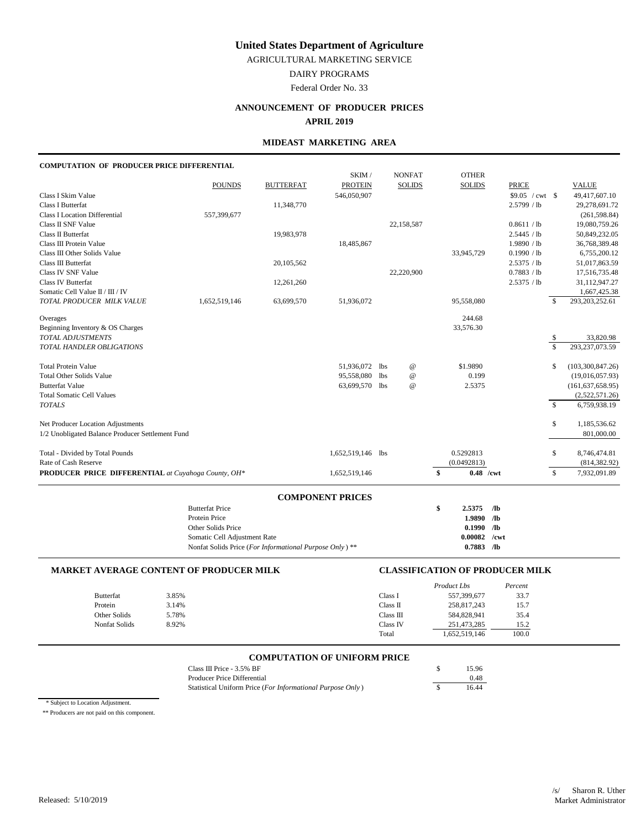AGRICULTURAL MARKETING SERVICE

DAIRY PROGRAMS

Federal Order No. 33

## **ANNOUNCEMENT OF PRODUCER PRICES**

**APRIL 2019**

## **MIDEAST MARKETING AREA**

## **COMPUTATION OF PRODUCER PRICE DIFFERENTIAL**

|                                                     |                                                        |                  | SKIM /                  |            | <b>NONFAT</b>             | <b>OTHER</b>      |                         |                         |                    |
|-----------------------------------------------------|--------------------------------------------------------|------------------|-------------------------|------------|---------------------------|-------------------|-------------------------|-------------------------|--------------------|
|                                                     | <b>POUNDS</b>                                          | <b>BUTTERFAT</b> | <b>PROTEIN</b>          |            | <b>SOLIDS</b>             | <b>SOLIDS</b>     | <b>PRICE</b>            |                         | <b>VALUE</b>       |
| Class I Skim Value                                  |                                                        |                  | 546,050,907             |            |                           |                   | $$9.05 / \text{cwt}$ \$ |                         | 49,417,607.10      |
| <b>Class I Butterfat</b>                            |                                                        | 11,348,770       |                         |            |                           |                   | 2.5799 / lb             |                         | 29,278,691.72      |
| <b>Class I Location Differential</b>                | 557,399,677                                            |                  |                         |            |                           |                   |                         |                         | (261, 598.84)      |
| Class II SNF Value                                  |                                                        |                  |                         |            | 22,158,587                |                   | 0.8611 / lb             |                         | 19,080,759.26      |
| Class II Butterfat                                  |                                                        | 19,983,978       |                         |            |                           |                   | 2.5445 / lb             |                         | 50,849,232.05      |
| Class III Protein Value                             |                                                        |                  | 18,485,867              |            |                           |                   | 1.9890 / lb             |                         | 36,768,389.48      |
| Class III Other Solids Value                        |                                                        |                  |                         |            |                           | 33,945,729        | 0.1990 / lb             |                         | 6,755,200.12       |
| Class III Butterfat                                 |                                                        | 20,105,562       |                         |            |                           |                   | 2.5375 / lb             |                         | 51,017,863.59      |
| Class IV SNF Value                                  |                                                        |                  |                         |            | 22,220,900                |                   | 0.7883 / lb             |                         | 17,516,735.48      |
| Class IV Butterfat                                  |                                                        | 12,261,260       |                         |            |                           |                   | 2.5375 / lb             |                         | 31,112,947.27      |
| Somatic Cell Value II / III / IV                    |                                                        |                  |                         |            |                           |                   |                         |                         | 1,667,425.38       |
| TOTAL PRODUCER MILK VALUE                           | 1,652,519,146                                          | 63,699,570       | 51,936,072              |            |                           | 95,558,080        |                         | $\mathcal{S}$           | 293, 203, 252.61   |
| Overages                                            |                                                        |                  |                         |            |                           | 244.68            |                         |                         |                    |
| Beginning Inventory & OS Charges                    |                                                        |                  |                         |            |                           | 33,576.30         |                         |                         |                    |
| <b>TOTAL ADJUSTMENTS</b>                            |                                                        |                  |                         |            |                           |                   |                         | \$                      | 33,820.98          |
| TOTAL HANDLER OBLIGATIONS                           |                                                        |                  |                         |            |                           |                   |                         | $\overline{\mathbf{s}}$ | 293,237,073.59     |
| <b>Total Protein Value</b>                          |                                                        |                  | 51,936,072              | <b>lbs</b> | $^\text{\textregistered}$ | \$1.9890          |                         | \$                      | (103,300,847.26)   |
| <b>Total Other Solids Value</b>                     |                                                        |                  | 95,558,080              | <b>lbs</b> | $^\text{\textregistered}$ | 0.199             |                         |                         | (19,016,057.93)    |
| <b>Butterfat Value</b>                              |                                                        |                  | 63,699,570 lbs          |            | $^\text{\textregistered}$ | 2.5375            |                         |                         | (161, 637, 658.95) |
| <b>Total Somatic Cell Values</b>                    |                                                        |                  |                         |            |                           |                   |                         |                         | (2,522,571.26)     |
| <b>TOTALS</b>                                       |                                                        |                  |                         |            |                           |                   |                         | $\mathcal{S}$           | 6,759,938.19       |
| Net Producer Location Adjustments                   |                                                        |                  |                         |            |                           |                   |                         | \$                      | 1,185,536.62       |
| 1/2 Unobligated Balance Producer Settlement Fund    |                                                        |                  |                         |            |                           |                   |                         |                         | 801,000.00         |
| Total - Divided by Total Pounds                     |                                                        |                  | 1,652,519,146 lbs       |            |                           | 0.5292813         |                         | \$                      | 8,746,474.81       |
| Rate of Cash Reserve                                |                                                        |                  |                         |            |                           | (0.0492813)       |                         |                         | (814, 382.92)      |
| PRODUCER PRICE DIFFERENTIAL at Cuyahoga County, OH* |                                                        |                  | 1,652,519,146           |            |                           | \$<br>$0.48$ /cwt |                         | \$                      | 7,932,091.89       |
|                                                     |                                                        |                  |                         |            |                           |                   |                         |                         |                    |
|                                                     | <b>Butterfat Price</b>                                 |                  | <b>COMPONENT PRICES</b> |            |                           | \$<br>2.5375      | /1 <sub>b</sub>         |                         |                    |
|                                                     | Protein Price                                          |                  |                         |            |                           | 1.9890            | /1 <sub>b</sub>         |                         |                    |
|                                                     | Other Solids Price                                     |                  |                         |            |                           | 0.1990            | /1 <sub>b</sub>         |                         |                    |
|                                                     | Somatic Cell Adjustment Rate                           |                  |                         |            |                           | 0.00082           | /cwt                    |                         |                    |
|                                                     | Nonfat Solids Price (For Informational Purpose Only)** |                  |                         |            |                           | $0.7883$ /lb      |                         |                         |                    |
|                                                     |                                                        |                  |                         |            |                           |                   |                         |                         |                    |

#### **MARKET AVERAGE CONTENT OF PRODUCER MILK CLASSIFICATION OF PRODUCER MILK**

|                  |       |           | Product Lbs   | Percent |
|------------------|-------|-----------|---------------|---------|
| <b>Butterfat</b> | 3.85% | Class I   | 557,399,677   | 33.7    |
| Protein          | 3.14% | Class II  | 258,817,243   | 15.7    |
| Other Solids     | 5.78% | Class III | 584,828,941   | 35.4    |
| Nonfat Solids    | 8.92% | Class IV  | 251.473.285   | 15.2    |
|                  |       | Total     | 1,652,519,146 | 100.0   |

# **COMPUTATION OF UNIFORM PRICE**

| Class III Price $-3.5\%$ BF                                | 15.96 |
|------------------------------------------------------------|-------|
| Producer Price Differential                                | 0.48  |
| Statistical Uniform Price (For Informational Purpose Only) | 16.44 |

\* Subject to Location Adjustment.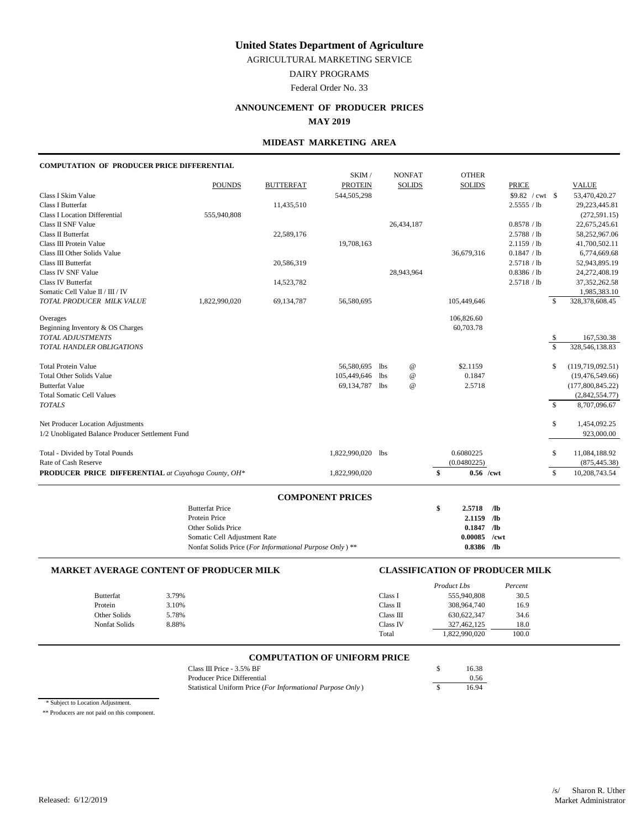AGRICULTURAL MARKETING SERVICE

DAIRY PROGRAMS

Federal Order No. 33

## **ANNOUNCEMENT OF PRODUCER PRICES**

**MAY 2019**

## **MIDEAST MARKETING AREA**

# **COMPUTATION OF PRODUCER PRICE DIFFERENTIAL**

|                                                     |                                                        |                  | SKIM /                  |     | <b>NONFAT</b>   | <b>OTHER</b>  |                 |                 |                    |                   |
|-----------------------------------------------------|--------------------------------------------------------|------------------|-------------------------|-----|-----------------|---------------|-----------------|-----------------|--------------------|-------------------|
|                                                     | <b>POUNDS</b>                                          | <b>BUTTERFAT</b> | <b>PROTEIN</b>          |     | <b>SOLIDS</b>   | <b>SOLIDS</b> |                 | <b>PRICE</b>    |                    | <b>VALUE</b>      |
| Class I Skim Value                                  |                                                        |                  | 544,505,298             |     |                 |               |                 | \$9.82 / cwt \$ |                    | 53,470,420.27     |
| <b>Class I Butterfat</b>                            |                                                        | 11,435,510       |                         |     |                 |               |                 | 2.5555 / lb     |                    | 29,223,445.81     |
| <b>Class I Location Differential</b>                | 555,940,808                                            |                  |                         |     |                 |               |                 |                 |                    | (272, 591.15)     |
| Class II SNF Value                                  |                                                        |                  |                         |     | 26,434,187      |               |                 | 0.8578 / lb     |                    | 22,675,245.61     |
| Class II Butterfat                                  |                                                        | 22,589,176       |                         |     |                 |               |                 | 2.5788 / lb     |                    | 58,252,967.06     |
| Class III Protein Value                             |                                                        |                  | 19,708,163              |     |                 |               |                 | 2.1159 / lb     |                    | 41,700,502.11     |
| Class III Other Solids Value                        |                                                        |                  |                         |     |                 | 36,679,316    |                 | 0.1847 / lb     |                    | 6,774,669.68      |
| Class III Butterfat                                 |                                                        | 20,586,319       |                         |     |                 |               |                 | 2.5718 / lb     |                    | 52,943,895.19     |
| Class IV SNF Value                                  |                                                        |                  |                         |     | 28,943,964      |               |                 | 0.8386 / lb     |                    | 24,272,408.19     |
| Class IV Butterfat                                  |                                                        | 14,523,782       |                         |     |                 |               |                 | 2.5718 / lb     |                    | 37, 352, 262. 58  |
| Somatic Cell Value II / III / IV                    |                                                        |                  |                         |     |                 |               |                 |                 |                    | 1,985,383.10      |
| TOTAL PRODUCER MILK VALUE                           | 1,822,990,020                                          | 69,134,787       | 56,580,695              |     |                 | 105,449,646   |                 |                 | \$                 | 328,378,608.45    |
| Overages                                            |                                                        |                  |                         |     |                 | 106,826.60    |                 |                 |                    |                   |
| Beginning Inventory & OS Charges                    |                                                        |                  |                         |     |                 | 60,703.78     |                 |                 |                    |                   |
| TOTAL ADJUSTMENTS                                   |                                                        |                  |                         |     |                 |               |                 |                 | \$                 | 167,530.38        |
| TOTAL HANDLER OBLIGATIONS                           |                                                        |                  |                         |     |                 |               |                 |                 | $\mathbf{\hat{S}}$ | 328, 546, 138.83  |
| <b>Total Protein Value</b>                          |                                                        |                  | 56,580,695              | lbs | $^{\copyright}$ | \$2.1159      |                 |                 | \$                 | (119,719,092.51)  |
| <b>Total Other Solids Value</b>                     |                                                        |                  | 105,449,646             | lbs | $^{\copyright}$ | 0.1847        |                 |                 |                    | (19, 476, 549.66) |
| <b>Butterfat Value</b>                              |                                                        |                  | 69,134,787 lbs          |     | $\omega$        | 2.5718        |                 |                 |                    | (177,800,845.22)  |
| <b>Total Somatic Cell Values</b>                    |                                                        |                  |                         |     |                 |               |                 |                 |                    | (2,842,554.77)    |
| <b>TOTALS</b>                                       |                                                        |                  |                         |     |                 |               |                 |                 | $\mathbb{S}$       | 8,707,096.67      |
| Net Producer Location Adjustments                   |                                                        |                  |                         |     |                 |               |                 |                 | \$                 | 1,454,092.25      |
| 1/2 Unobligated Balance Producer Settlement Fund    |                                                        |                  |                         |     |                 |               |                 |                 |                    | 923,000.00        |
| Total - Divided by Total Pounds                     |                                                        |                  | 1,822,990,020 lbs       |     |                 | 0.6080225     |                 |                 | \$                 | 11,084,188.92     |
| Rate of Cash Reserve                                |                                                        |                  |                         |     |                 | (0.0480225)   |                 |                 |                    | (875, 445.38)     |
| PRODUCER PRICE DIFFERENTIAL at Cuyahoga County, OH* |                                                        |                  | 1,822,990,020           |     |                 | $\mathbf{s}$  | $0.56$ /cwt     |                 | \$                 | 10,208,743.54     |
|                                                     |                                                        |                  |                         |     |                 |               |                 |                 |                    |                   |
|                                                     | <b>Butterfat Price</b>                                 |                  | <b>COMPONENT PRICES</b> |     |                 | \$<br>2.5718  | /1 <sub>b</sub> |                 |                    |                   |
|                                                     | Protein Price                                          |                  |                         |     |                 |               | 2.1159 /lb      |                 |                    |                   |
|                                                     | Other Solids Price                                     |                  |                         |     |                 | 0.1847        | $\sqrt{a}$      |                 |                    |                   |
|                                                     | Somatic Cell Adjustment Rate                           |                  |                         |     |                 | 0.00085       | /cwt            |                 |                    |                   |
|                                                     | Nonfat Solids Price (For Informational Purpose Only)** |                  |                         |     |                 |               | $0.8386$ /lb    |                 |                    |                   |
|                                                     |                                                        |                  |                         |     |                 |               |                 |                 |                    |                   |

### **MARKET AVERAGE CONTENT OF PRODUCER MILK CLASSIFICATION OF PRODUCER MILK**

|               |       |           | Product Lbs   | Percent |
|---------------|-------|-----------|---------------|---------|
| Butterfat     | 3.79% | Class I   | 555,940,808   | 30.5    |
| Protein       | 3.10% | Class II  | 308,964,740   | 16.9    |
| Other Solids  | 5.78% | Class III | 630, 622, 347 | 34.6    |
| Nonfat Solids | 8.88% | Class IV  | 327,462,125   | 18.0    |
|               |       | Total     | 1,822,990,020 | 100.0   |

# **COMPUTATION OF UNIFORM PRICE**

| Class III Price - 3.5% BF                                  | 16.38 |
|------------------------------------------------------------|-------|
| Producer Price Differential                                | 0.56  |
| Statistical Uniform Price (For Informational Purpose Only) | 1694  |

\* Subject to Location Adjustment.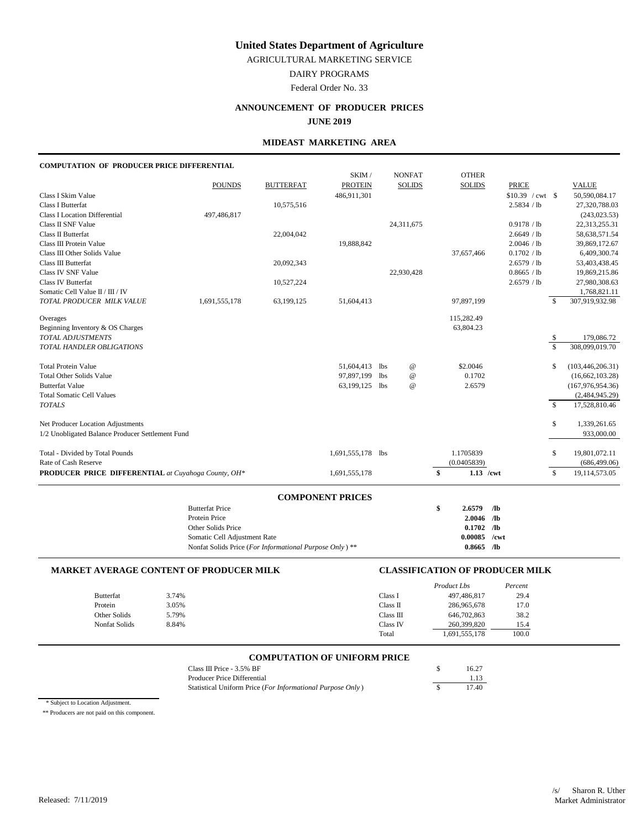AGRICULTURAL MARKETING SERVICE

DAIRY PROGRAMS

Federal Order No. 33

## **ANNOUNCEMENT OF PRODUCER PRICES**

**JUNE 2019**

## **MIDEAST MARKETING AREA**

#### **COMPUTATION OF PRODUCER PRICE DIFFERENTIAL**

|                                                     |                                                         |                  | SKIM /                  |            | <b>NONFAT</b>             | <b>OTHER</b>      |                 |                   |                    |                    |
|-----------------------------------------------------|---------------------------------------------------------|------------------|-------------------------|------------|---------------------------|-------------------|-----------------|-------------------|--------------------|--------------------|
|                                                     | <b>POUNDS</b>                                           | <b>BUTTERFAT</b> | <b>PROTEIN</b>          |            | <b>SOLIDS</b>             | <b>SOLIDS</b>     |                 | <b>PRICE</b>      |                    | <b>VALUE</b>       |
| Class I Skim Value                                  |                                                         |                  | 486,911,301             |            |                           |                   |                 | $$10.39$ / cwt \$ |                    | 50,590,084.17      |
| Class I Butterfat                                   |                                                         | 10,575,516       |                         |            |                           |                   |                 | 2.5834 / lb       |                    | 27,320,788.03      |
| <b>Class I Location Differential</b>                | 497,486,817                                             |                  |                         |            |                           |                   |                 |                   |                    | (243, 023.53)      |
| Class II SNF Value                                  |                                                         |                  |                         |            | 24,311,675                |                   |                 | 0.9178 / lb       |                    | 22,313,255.31      |
| Class II Butterfat                                  |                                                         | 22,004,042       |                         |            |                           |                   |                 | 2.6649 / lb       |                    | 58,638,571.54      |
| Class III Protein Value                             |                                                         |                  | 19,888,842              |            |                           |                   |                 | 2.0046 / lb       |                    | 39,869,172.67      |
| Class III Other Solids Value                        |                                                         |                  |                         |            |                           | 37,657,466        |                 | 0.1702 / lb       |                    | 6,409,300.74       |
| Class III Butterfat                                 |                                                         | 20,092,343       |                         |            |                           |                   |                 | 2.6579 / lb       |                    | 53,403,438.45      |
| Class IV SNF Value                                  |                                                         |                  |                         |            | 22,930,428                |                   |                 | 0.8665 / lb       |                    | 19,869,215.86      |
| <b>Class IV Butterfat</b>                           |                                                         | 10,527,224       |                         |            |                           |                   |                 | 2.6579 / lb       |                    | 27,980,308.63      |
| Somatic Cell Value $\rm II/H$ / IV                  |                                                         |                  |                         |            |                           |                   |                 |                   |                    | 1,768,821.11       |
| TOTAL PRODUCER MILK VALUE                           | 1,691,555,178                                           | 63,199,125       | 51,604,413              |            |                           | 97,897,199        |                 |                   | \$                 | 307,919,932.98     |
| Overages                                            |                                                         |                  |                         |            |                           | 115,282.49        |                 |                   |                    |                    |
| Beginning Inventory & OS Charges                    |                                                         |                  |                         |            |                           | 63,804.23         |                 |                   |                    |                    |
| TOTAL ADJUSTMENTS                                   |                                                         |                  |                         |            |                           |                   |                 |                   | \$                 | 179,086.72         |
| TOTAL HANDLER OBLIGATIONS                           |                                                         |                  |                         |            |                           |                   |                 |                   | \$                 | 308,099,019.70     |
| <b>Total Protein Value</b>                          |                                                         |                  | 51,604,413              | lbs        | $^{\copyright}$           | \$2.0046          |                 |                   | \$                 | (103, 446, 206.31) |
| <b>Total Other Solids Value</b>                     |                                                         |                  | 97,897,199              | <b>lbs</b> | $\omega$                  | 0.1702            |                 |                   |                    | (16, 662, 103.28)  |
| <b>Butterfat Value</b>                              |                                                         |                  | 63,199,125 lbs          |            | $^\text{\textregistered}$ | 2.6579            |                 |                   |                    | (167, 976, 954.36) |
| <b>Total Somatic Cell Values</b>                    |                                                         |                  |                         |            |                           |                   |                 |                   |                    | (2,484,945.29)     |
| <b>TOTALS</b>                                       |                                                         |                  |                         |            |                           |                   |                 |                   | $\mathbf{\hat{S}}$ | 17,528,810.46      |
| Net Producer Location Adjustments                   |                                                         |                  |                         |            |                           |                   |                 |                   | \$                 | 1,339,261.65       |
| 1/2 Unobligated Balance Producer Settlement Fund    |                                                         |                  |                         |            |                           |                   |                 |                   |                    | 933,000.00         |
| Total - Divided by Total Pounds                     |                                                         |                  | 1,691,555,178 lbs       |            |                           | 1.1705839         |                 |                   | \$                 | 19,801,072.11      |
| Rate of Cash Reserve                                |                                                         |                  |                         |            |                           | (0.0405839)       |                 |                   |                    | (686, 499.06)      |
| PRODUCER PRICE DIFFERENTIAL at Cuyahoga County, OH* |                                                         |                  | 1,691,555,178           |            |                           | \$<br>$1.13$ /cwt |                 |                   | \$                 | 19,114,573.05      |
|                                                     |                                                         |                  |                         |            |                           |                   |                 |                   |                    |                    |
|                                                     | <b>Butterfat Price</b>                                  |                  | <b>COMPONENT PRICES</b> |            |                           | \$<br>2.6579      | /1 <sub>b</sub> |                   |                    |                    |
|                                                     | Protein Price                                           |                  |                         |            |                           | $2.0046$ /lb      |                 |                   |                    |                    |
|                                                     | Other Solids Price                                      |                  |                         |            |                           | 0.1702            | $\sqrt{a}$      |                   |                    |                    |
|                                                     | Somatic Cell Adjustment Rate                            |                  |                         |            |                           | 0.00085           | /cwt            |                   |                    |                    |
|                                                     | Nonfat Solids Price (For Informational Purpose Only) ** |                  |                         |            |                           | $0.8665$ /lb      |                 |                   |                    |                    |
|                                                     |                                                         |                  |                         |            |                           |                   |                 |                   |                    |                    |

### **MARKET AVERAGE CONTENT OF PRODUCER MILK CLASSIFICATION OF PRODUCER MILK**

|                      |       |           | Product Lbs   | Percent |
|----------------------|-------|-----------|---------------|---------|
| <b>Butterfat</b>     | 3.74% | Class I   | 497,486,817   | 29.4    |
| Protein              | 3.05% | Class II  | 286,965,678   | 17.0    |
| Other Solids         | 5.79% | Class III | 646,702,863   | 38.2    |
| <b>Nonfat Solids</b> | 8.84% | Class IV  | 260,399,820   | 15.4    |
|                      |       | Total     | 1,691,555,178 | 100.0   |

# **COMPUTATION OF UNIFORM PRICE**

| Class III Price $-3.5\%$ BF                                | 16.27 |
|------------------------------------------------------------|-------|
| Producer Price Differential                                | 1.13  |
| Statistical Uniform Price (For Informational Purpose Only) | 17.40 |

\* Subject to Location Adjustment.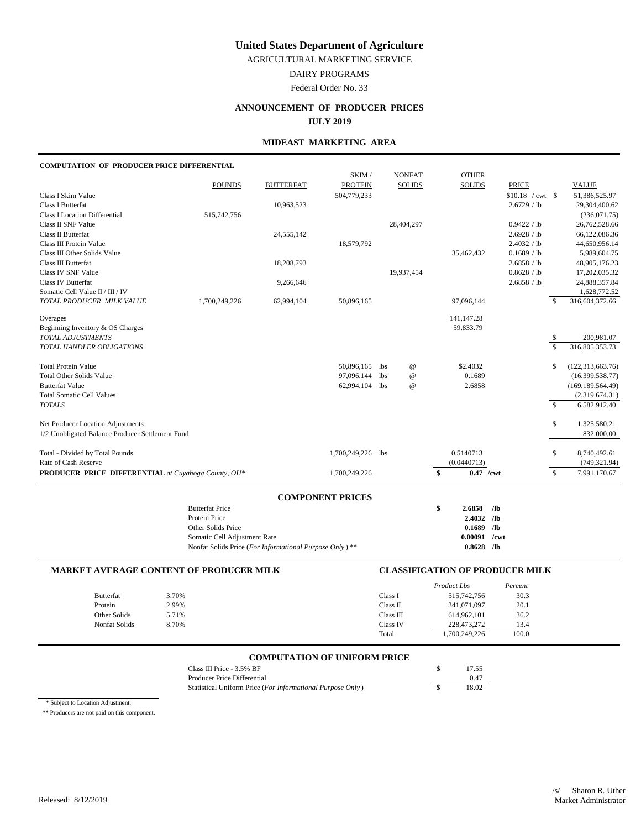AGRICULTURAL MARKETING SERVICE

DAIRY PROGRAMS

Federal Order No. 33

## **ANNOUNCEMENT OF PRODUCER PRICES**

## **JULY 2019**

## **MIDEAST MARKETING AREA**

| <b>COMPUTATION OF PRODUCER PRICE DIFFERENTIAL</b>   |                                                         |                  |                         |     |                           |                             |                                         |                         |                                |
|-----------------------------------------------------|---------------------------------------------------------|------------------|-------------------------|-----|---------------------------|-----------------------------|-----------------------------------------|-------------------------|--------------------------------|
|                                                     |                                                         |                  | SKIM /                  |     | <b>NONFAT</b>             | <b>OTHER</b>                |                                         |                         |                                |
|                                                     | <b>POUNDS</b>                                           | <b>BUTTERFAT</b> | <b>PROTEIN</b>          |     | <b>SOLIDS</b>             | <b>SOLIDS</b>               | <b>PRICE</b>                            |                         | <b>VALUE</b>                   |
| Class I Skim Value<br>Class I Butterfat             |                                                         | 10,963,523       | 504,779,233             |     |                           |                             | $$10.18 / \text{cwt}$ \$<br>2.6729 / lb |                         | 51,386,525.97<br>29,304,400.62 |
| <b>Class I Location Differential</b>                | 515,742,756                                             |                  |                         |     |                           |                             |                                         |                         | (236,071.75)                   |
| Class II SNF Value                                  |                                                         |                  |                         |     | 28,404,297                |                             | 0.9422 / lb                             |                         | 26,762,528.66                  |
| Class II Butterfat                                  |                                                         | 24,555,142       |                         |     |                           |                             | 2.6928 / lb                             |                         | 66,122,086.36                  |
| Class III Protein Value                             |                                                         |                  | 18,579,792              |     |                           |                             | 2.4032 / lb                             |                         | 44,650,956.14                  |
| Class III Other Solids Value                        |                                                         |                  |                         |     |                           | 35,462,432                  | 0.1689 / lb                             |                         | 5,989,604.75                   |
| Class III Butterfat                                 |                                                         | 18,208,793       |                         |     |                           |                             | 2.6858 / lb                             |                         | 48,905,176.23                  |
| Class IV SNF Value                                  |                                                         |                  |                         |     | 19,937,454                |                             | 0.8628 / lb                             |                         | 17,202,035.32                  |
| <b>Class IV Butterfat</b>                           |                                                         | 9,266,646        |                         |     |                           |                             | 2.6858 / lb                             |                         | 24,888,357.84                  |
| Somatic Cell Value II / III / IV                    |                                                         |                  |                         |     |                           |                             |                                         |                         | 1,628,772.52                   |
| TOTAL PRODUCER MILK VALUE                           | 1,700,249,226                                           | 62,994,104       | 50,896,165              |     |                           | 97.096.144                  |                                         | $\mathcal{S}$           | 316,604,372.66                 |
| Overages                                            |                                                         |                  |                         |     |                           | 141,147.28                  |                                         |                         |                                |
| Beginning Inventory & OS Charges                    |                                                         |                  |                         |     |                           | 59,833.79                   |                                         |                         |                                |
| TOTAL ADJUSTMENTS                                   |                                                         |                  |                         |     |                           |                             |                                         | \$                      | 200,981.07                     |
| TOTAL HANDLER OBLIGATIONS                           |                                                         |                  |                         |     |                           |                             |                                         | $\overline{\mathbf{s}}$ | 316,805,353.73                 |
| <b>Total Protein Value</b>                          |                                                         |                  | 50,896,165              | lbs | $^{\copyright}$           | \$2.4032                    |                                         | \$                      | (122, 313, 663.76)             |
| <b>Total Other Solids Value</b>                     |                                                         |                  | 97,096,144              | lbs | $^\text{\textregistered}$ | 0.1689                      |                                         |                         | (16,399,538.77)                |
| <b>Butterfat Value</b>                              |                                                         |                  | 62,994,104 lbs          |     | @                         | 2.6858                      |                                         |                         | (169, 189, 564.49)             |
| <b>Total Somatic Cell Values</b>                    |                                                         |                  |                         |     |                           |                             |                                         |                         | (2,319,674.31)                 |
| <b>TOTALS</b>                                       |                                                         |                  |                         |     |                           |                             |                                         | $\mathcal{S}$           | 6,582,912.40                   |
| Net Producer Location Adjustments                   |                                                         |                  |                         |     |                           |                             |                                         | \$                      | 1,325,580.21                   |
| 1/2 Unobligated Balance Producer Settlement Fund    |                                                         |                  |                         |     |                           |                             |                                         |                         | 832,000.00                     |
| Total - Divided by Total Pounds                     |                                                         |                  | 1,700,249,226 lbs       |     |                           | 0.5140713                   |                                         | \$                      | 8,740,492.61                   |
| Rate of Cash Reserve                                |                                                         |                  |                         |     |                           | (0.0440713)                 |                                         |                         | (749, 321.94)                  |
| PRODUCER PRICE DIFFERENTIAL at Cuyahoga County, OH* |                                                         |                  | 1,700,249,226           |     |                           | $\mathbf{s}$<br>$0.47$ /cwt |                                         | \$                      | 7,991,170.67                   |
|                                                     |                                                         |                  | <b>COMPONENT PRICES</b> |     |                           |                             |                                         |                         |                                |
|                                                     | <b>Butterfat Price</b>                                  |                  |                         |     |                           | \$<br>2.6858                | /lb                                     |                         |                                |
|                                                     | Protein Price                                           |                  |                         |     |                           | 2.4032 /lb                  |                                         |                         |                                |
|                                                     | Other Solids Price                                      |                  |                         |     |                           | 0.1689                      | /1 <sub>b</sub>                         |                         |                                |
|                                                     | Somatic Cell Adjustment Rate                            |                  |                         |     |                           | 0.00091                     | /cwt                                    |                         |                                |
|                                                     | Nonfat Solids Price (For Informational Purpose Only) ** |                  |                         |     |                           | $0.8628$ /lb                |                                         |                         |                                |
|                                                     |                                                         |                  |                         |     |                           |                             |                                         |                         |                                |

#### **MARKET AVERAGE CONTENT OF PRODUCER MILK CLASSIFICATION OF PRODUCER MILK**

|                  |       |           | Product Lbs   | Percent |
|------------------|-------|-----------|---------------|---------|
| <b>Butterfat</b> | 3.70% | Class I   | 515,742,756   | 30.3    |
| Protein          | 2.99% | Class II  | 341,071,097   | 20.1    |
| Other Solids     | 5.71% | Class III | 614.962.101   | 36.2    |
| Nonfat Solids    | 8.70% | Class IV  | 228,473,272   | 13.4    |
|                  |       | Total     | 1,700,249,226 | 100.0   |

# **COMPUTATION OF UNIFORM PRICE**

| Class III Price $-3.5\%$ BF                                | 17.55 |
|------------------------------------------------------------|-------|
| Producer Price Differential                                | 0.47  |
| Statistical Uniform Price (For Informational Purpose Only) | 18.02 |

\* Subject to Location Adjustment.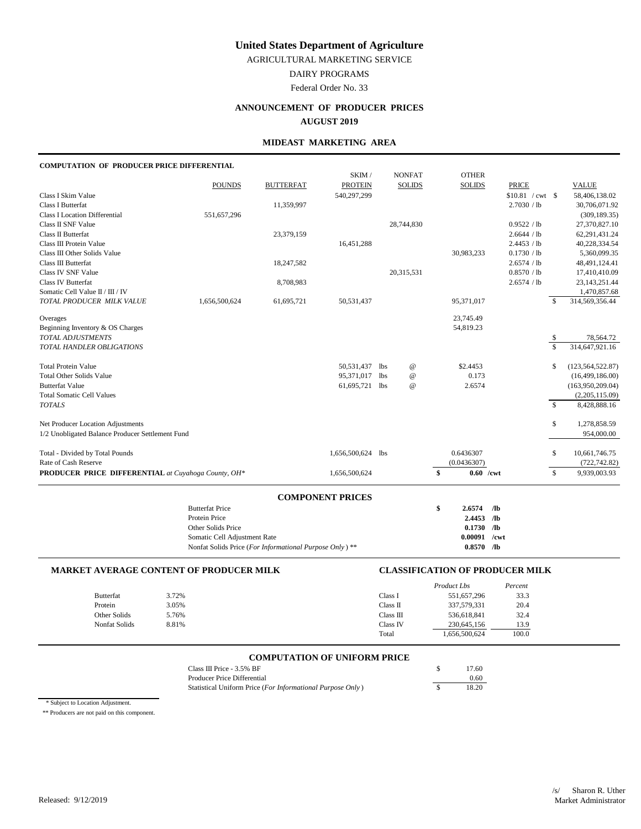AGRICULTURAL MARKETING SERVICE

DAIRY PROGRAMS

Federal Order No. 33

## **ANNOUNCEMENT OF PRODUCER PRICES**

**AUGUST 2019**

## **MIDEAST MARKETING AREA**

## **COMPUTATION OF PRODUCER PRICE DIFFERENTIAL**

|                                                     |                                                         |                  | SKIM /                  |     | <b>NONFAT</b>             | <b>OTHER</b>      |                  |                         |                    |
|-----------------------------------------------------|---------------------------------------------------------|------------------|-------------------------|-----|---------------------------|-------------------|------------------|-------------------------|--------------------|
|                                                     | <b>POUNDS</b>                                           | <b>BUTTERFAT</b> | <b>PROTEIN</b>          |     | <b>SOLIDS</b>             | <b>SOLIDS</b>     | <b>PRICE</b>     |                         | <b>VALUE</b>       |
| Class I Skim Value                                  |                                                         |                  | 540,297,299             |     |                           |                   | \$10.81 / cwt \$ |                         | 58,406,138.02      |
| Class I Butterfat                                   |                                                         | 11,359,997       |                         |     |                           |                   | 2.7030 / lb      |                         | 30,706,071.92      |
| <b>Class I Location Differential</b>                | 551,657,296                                             |                  |                         |     |                           |                   |                  |                         | (309, 189.35)      |
| Class II SNF Value                                  |                                                         |                  |                         |     | 28,744,830                |                   | 0.9522 / lb      |                         | 27,370,827.10      |
| Class II Butterfat                                  |                                                         | 23,379,159       |                         |     |                           |                   | 2.6644 / lb      |                         | 62,291,431.24      |
| Class III Protein Value                             |                                                         |                  | 16,451,288              |     |                           |                   | 2.4453 / lb      |                         | 40,228,334.54      |
| Class III Other Solids Value                        |                                                         |                  |                         |     |                           | 30,983,233        | 0.1730 / lb      |                         | 5,360,099.35       |
| Class III Butterfat                                 |                                                         | 18,247,582       |                         |     |                           |                   | 2.6574 / lb      |                         | 48,491,124.41      |
| Class IV SNF Value                                  |                                                         |                  |                         |     | 20,315,531                |                   | 0.8570 / lb      |                         | 17,410,410.09      |
| <b>Class IV Butterfat</b>                           |                                                         | 8,708,983        |                         |     |                           |                   | 2.6574 / lb      |                         | 23, 143, 251. 44   |
| Somatic Cell Value II / III / IV                    |                                                         |                  |                         |     |                           |                   |                  |                         | 1,470,857.68       |
| TOTAL PRODUCER MILK VALUE                           | 1,656,500,624                                           | 61,695,721       | 50,531,437              |     |                           | 95,371,017        |                  | \$.                     | 314,569,356.44     |
| Overages                                            |                                                         |                  |                         |     |                           | 23,745.49         |                  |                         |                    |
| Beginning Inventory & OS Charges                    |                                                         |                  |                         |     |                           | 54,819.23         |                  |                         |                    |
| <b>TOTAL ADJUSTMENTS</b>                            |                                                         |                  |                         |     |                           |                   |                  | \$                      | 78,564.72          |
| TOTAL HANDLER OBLIGATIONS                           |                                                         |                  |                         |     |                           |                   |                  | $\overline{\mathbf{s}}$ | 314,647,921.16     |
| <b>Total Protein Value</b>                          |                                                         |                  | 50,531,437              | lbs | $^\text{\textregistered}$ | \$2.4453          |                  | \$                      | (123, 564, 522.87) |
| <b>Total Other Solids Value</b>                     |                                                         |                  | 95,371,017              | lbs | $^\text{\textregistered}$ | 0.173             |                  |                         | (16,499,186.00)    |
| <b>Butterfat Value</b>                              |                                                         |                  | 61,695,721 lbs          |     | $^\text{\textregistered}$ | 2.6574            |                  |                         | (163,950,209.04)   |
| <b>Total Somatic Cell Values</b>                    |                                                         |                  |                         |     |                           |                   |                  |                         | (2,205,115.09)     |
| <b>TOTALS</b>                                       |                                                         |                  |                         |     |                           |                   |                  | $\mathbb{S}$            | 8,428,888.16       |
| Net Producer Location Adjustments                   |                                                         |                  |                         |     |                           |                   |                  | \$                      | 1,278,858.59       |
| 1/2 Unobligated Balance Producer Settlement Fund    |                                                         |                  |                         |     |                           |                   |                  |                         | 954,000.00         |
| Total - Divided by Total Pounds                     |                                                         |                  | 1,656,500,624 lbs       |     |                           | 0.6436307         |                  | \$                      | 10,661,746.75      |
| Rate of Cash Reserve                                |                                                         |                  |                         |     |                           | (0.0436307)       |                  |                         | (722, 742.82)      |
| PRODUCER PRICE DIFFERENTIAL at Cuyahoga County, OH* |                                                         |                  | 1,656,500,624           |     |                           | \$<br>$0.60$ /cwt |                  | \$                      | 9,939,003.93       |
|                                                     |                                                         |                  |                         |     |                           |                   |                  |                         |                    |
|                                                     | <b>Butterfat Price</b>                                  |                  | <b>COMPONENT PRICES</b> |     |                           | 2.6574            |                  |                         |                    |
|                                                     | Protein Price                                           |                  |                         |     |                           | \$<br>2.4453 /lb  | /1 <sub>b</sub>  |                         |                    |
|                                                     | Other Solids Price                                      |                  |                         |     |                           | 0.1730            | $\sqrt{a}$       |                         |                    |
|                                                     | Somatic Cell Adjustment Rate                            |                  |                         |     |                           | 0.00091           | /cwt             |                         |                    |
|                                                     | Nonfat Solids Price (For Informational Purpose Only) ** |                  |                         |     |                           | $0.8570$ /lb      |                  |                         |                    |
|                                                     |                                                         |                  |                         |     |                           |                   |                  |                         |                    |

#### **MARKET AVERAGE CONTENT OF PRODUCER MILK CLASSIFICATION OF PRODUCER MILK**

|               |       | Product Lbs              | Percent |
|---------------|-------|--------------------------|---------|
| Butterfat     | 3.72% | Class I<br>551,657,296   | 33.3    |
| Protein       | 3.05% | 337,579,331<br>Class II  | 20.4    |
| Other Solids  | 5.76% | 536,618,841<br>Class III | 32.4    |
| Nonfat Solids | 8.81% | Class IV<br>230,645,156  | 13.9    |
|               |       | 1,656,500,624<br>Total   | 100.0   |

# **COMPUTATION OF UNIFORM PRICE**

| Class III Price - 3.5% BF                                  | 17.60 |
|------------------------------------------------------------|-------|
| Producer Price Differential                                | 0.60  |
| Statistical Uniform Price (For Informational Purpose Only) | 18.20 |

\* Subject to Location Adjustment.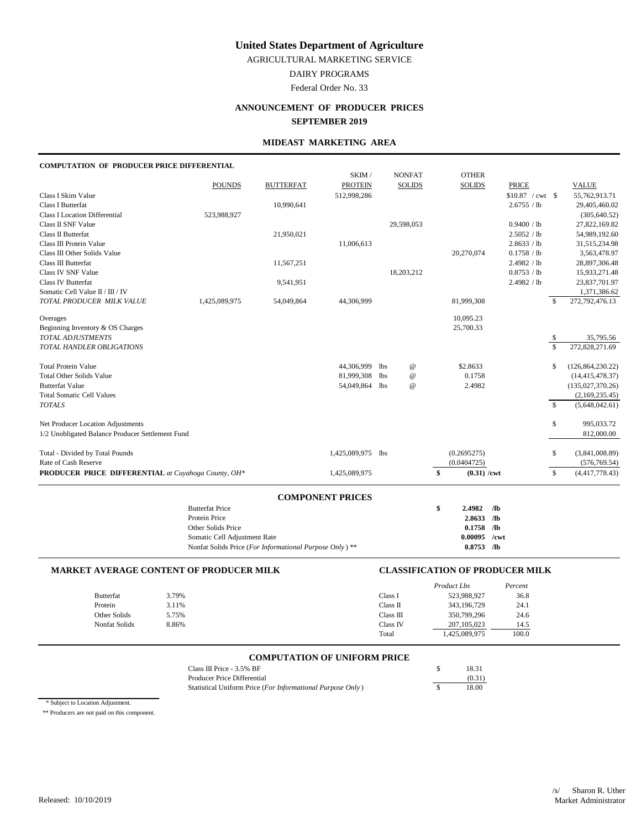AGRICULTURAL MARKETING SERVICE

DAIRY PROGRAMS

Federal Order No. 33

## **ANNOUNCEMENT OF PRODUCER PRICES SEPTEMBER 2019**

### **MIDEAST MARKETING AREA**

## **COMPUTATION OF PRODUCER PRICE DIFFERENTIAL**

|                                                     |                                                        |                  | SKIM /                  |            | <b>NONFAT</b>             | <b>OTHER</b>               |                   |                         |                    |
|-----------------------------------------------------|--------------------------------------------------------|------------------|-------------------------|------------|---------------------------|----------------------------|-------------------|-------------------------|--------------------|
|                                                     | <b>POUNDS</b>                                          | <b>BUTTERFAT</b> | <b>PROTEIN</b>          |            | <b>SOLIDS</b>             | <b>SOLIDS</b>              | <b>PRICE</b>      |                         | <b>VALUE</b>       |
| Class I Skim Value                                  |                                                        |                  | 512,998,286             |            |                           |                            | $$10.87$ / cwt \$ |                         | 55,762,913.71      |
| Class I Butterfat                                   |                                                        | 10,990,641       |                         |            |                           |                            | 2.6755 / lb       |                         | 29,405,460.02      |
| <b>Class I Location Differential</b>                | 523,988,927                                            |                  |                         |            |                           |                            |                   |                         | (305, 640.52)      |
| Class II SNF Value                                  |                                                        |                  |                         |            | 29,598,053                |                            | 0.9400 / lb       |                         | 27,822,169.82      |
| Class II Butterfat                                  |                                                        | 21,950,021       |                         |            |                           |                            | 2.5052 / lb       |                         | 54,989,192.60      |
| Class III Protein Value                             |                                                        |                  | 11,006,613              |            |                           |                            | 2.8633 / lb       |                         | 31,515,234.98      |
| Class III Other Solids Value                        |                                                        |                  |                         |            |                           | 20,270,074                 | 0.1758 / lb       |                         | 3,563,478.97       |
| Class III Butterfat                                 |                                                        | 11,567,251       |                         |            |                           |                            | 2.4982 / lb       |                         | 28,897,306.48      |
| Class IV SNF Value                                  |                                                        |                  |                         |            | 18,203,212                |                            | 0.8753 / lb       |                         | 15,933,271.48      |
| <b>Class IV Butterfat</b>                           |                                                        | 9,541,951        |                         |            |                           |                            | 2.4982 / lb       |                         | 23,837,701.97      |
| Somatic Cell Value II / III / IV                    |                                                        |                  |                         |            |                           |                            |                   |                         | 1,371,386.62       |
| TOTAL PRODUCER MILK VALUE                           | 1,425,089,975                                          | 54,049,864       | 44,306,999              |            |                           | 81,999,308                 |                   | $\mathcal{S}$           | 272,792,476.13     |
| Overages                                            |                                                        |                  |                         |            |                           | 10,095.23                  |                   |                         |                    |
| Beginning Inventory & OS Charges                    |                                                        |                  |                         |            |                           | 25,700.33                  |                   |                         |                    |
| TOTAL ADJUSTMENTS                                   |                                                        |                  |                         |            |                           |                            |                   | \$                      | 35,795.56          |
| TOTAL HANDLER OBLIGATIONS                           |                                                        |                  |                         |            |                           |                            |                   | $\overline{\mathbf{s}}$ | 272,828,271.69     |
| <b>Total Protein Value</b>                          |                                                        |                  | 44,306,999              | <b>lbs</b> | $^\text{\textregistered}$ | \$2.8633                   |                   | \$                      | (126, 864, 230.22) |
| <b>Total Other Solids Value</b>                     |                                                        |                  | 81,999,308              | lbs        | $^\text{\textregistered}$ | 0.1758                     |                   |                         | (14, 415, 478.37)  |
| <b>Butterfat Value</b>                              |                                                        |                  | 54,049,864              | lbs        | $^\text{\textregistered}$ | 2.4982                     |                   |                         | (135,027,370.26)   |
| <b>Total Somatic Cell Values</b>                    |                                                        |                  |                         |            |                           |                            |                   |                         | (2,169,235.45)     |
| <b>TOTALS</b>                                       |                                                        |                  |                         |            |                           |                            |                   | $\mathbb{S}$            | (5,648,042.61)     |
| Net Producer Location Adjustments                   |                                                        |                  |                         |            |                           |                            |                   | \$                      | 995,033.72         |
| 1/2 Unobligated Balance Producer Settlement Fund    |                                                        |                  |                         |            |                           |                            |                   |                         | 812,000.00         |
| Total - Divided by Total Pounds                     |                                                        |                  | 1,425,089,975 lbs       |            |                           | (0.2695275)                |                   | \$                      | (3,841,008.89)     |
| Rate of Cash Reserve                                |                                                        |                  |                         |            |                           | (0.0404725)                |                   |                         | (576, 769.54)      |
| PRODUCER PRICE DIFFERENTIAL at Cuyahoga County, OH* |                                                        |                  | 1,425,089,975           |            |                           | \$<br>$(0.31)$ /cwt        |                   | \$                      | (4,417,778.43)     |
|                                                     |                                                        |                  |                         |            |                           |                            |                   |                         |                    |
|                                                     |                                                        |                  | <b>COMPONENT PRICES</b> |            |                           |                            |                   |                         |                    |
|                                                     | <b>Butterfat Price</b><br>Protein Price                |                  |                         |            |                           | \$<br>2.4982<br>2.8633 /lb | /1 <sub>b</sub>   |                         |                    |
|                                                     |                                                        |                  |                         |            |                           | 0.1758                     | $\sqrt{a}$        |                         |                    |
|                                                     | Other Solids Price                                     |                  |                         |            |                           | 0.00095                    | /cwt              |                         |                    |
|                                                     | Somatic Cell Adjustment Rate                           |                  |                         |            |                           | $0.8753$ /lb               |                   |                         |                    |
|                                                     | Nonfat Solids Price (For Informational Purpose Only)** |                  |                         |            |                           |                            |                   |                         |                    |

### **MARKET AVERAGE CONTENT OF PRODUCER MILK CLASSIFICATION OF PRODUCER MILK**

|               |       |           | Product Lbs   | Percent |
|---------------|-------|-----------|---------------|---------|
| Butterfat     | 3.79% | Class I   | 523,988,927   | 36.8    |
| Protein       | 3.11% | Class II  | 343,196,729   | 24.1    |
| Other Solids  | 5.75% | Class III | 350,799,296   | 24.6    |
| Nonfat Solids | 8.86% | Class IV  | 207, 105, 023 | 14.5    |
|               |       | Total     | 425,089,975   | 100.0   |

## **COMPUTATION OF UNIFORM PRICE**

| Class III Price $-3.5\%$ BF                                | 18.31  |
|------------------------------------------------------------|--------|
| Producer Price Differential                                | (0.31) |
| Statistical Uniform Price (For Informational Purpose Only) | 18.00  |

\* Subject to Location Adjustment.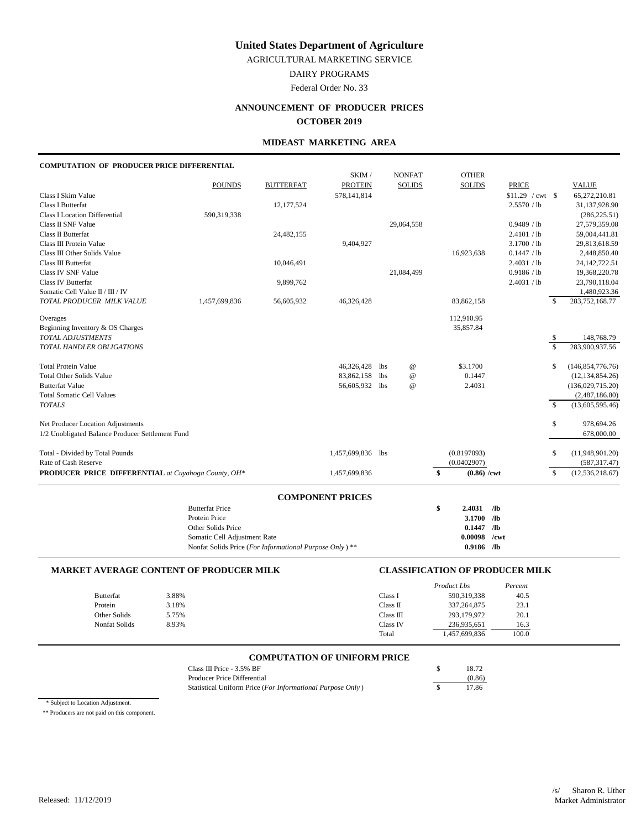AGRICULTURAL MARKETING SERVICE

DAIRY PROGRAMS

Federal Order No. 33

## **ANNOUNCEMENT OF PRODUCER PRICES**

### **OCTOBER 2019**

## **MIDEAST MARKETING AREA**

#### **COMPUTATION OF PRODUCER PRICE DIFFERENTIAL**

|                                                     |                              |                                                        | SKIM /                  |     | <b>NONFAT</b>             | <b>OTHER</b>        |                     |                    |                    |
|-----------------------------------------------------|------------------------------|--------------------------------------------------------|-------------------------|-----|---------------------------|---------------------|---------------------|--------------------|--------------------|
|                                                     | <b>POUNDS</b>                | <b>BUTTERFAT</b>                                       | <b>PROTEIN</b>          |     | <b>SOLIDS</b>             | <b>SOLIDS</b>       | <b>PRICE</b>        |                    | <b>VALUE</b>       |
| Class I Skim Value                                  |                              |                                                        | 578,141,814             |     |                           |                     | $$11.29$ / cwt \ \$ |                    | 65,272,210.81      |
| Class I Butterfat                                   |                              | 12,177,524                                             |                         |     |                           |                     | 2.5570 / lb         |                    | 31,137,928.90      |
| <b>Class I Location Differential</b>                | 590,319,338                  |                                                        |                         |     |                           |                     |                     |                    | (286, 225.51)      |
| Class II SNF Value                                  |                              |                                                        |                         |     | 29,064,558                |                     | 0.9489 / lb         |                    | 27,579,359.08      |
| Class II Butterfat                                  |                              | 24,482,155                                             |                         |     |                           |                     | 2.4101 / lb         |                    | 59,004,441.81      |
| Class III Protein Value                             |                              |                                                        | 9,404,927               |     |                           |                     | 3.1700 / lb         |                    | 29,813,618.59      |
| Class III Other Solids Value                        |                              |                                                        |                         |     |                           | 16,923,638          | 0.1447 / lb         |                    | 2,448,850.40       |
| Class III Butterfat                                 |                              | 10,046,491                                             |                         |     |                           |                     | 2.4031 / lb         |                    | 24, 142, 722. 51   |
| Class IV SNF Value                                  |                              |                                                        |                         |     | 21,084,499                |                     | 0.9186 / lb         |                    | 19,368,220.78      |
| <b>Class IV Butterfat</b>                           |                              | 9,899,762                                              |                         |     |                           |                     | 2.4031 / lb         |                    | 23,790,118.04      |
| Somatic Cell Value II / III / IV                    |                              |                                                        |                         |     |                           |                     |                     |                    | 1,480,923.36       |
| TOTAL PRODUCER MILK VALUE                           | 1,457,699,836                | 56,605,932                                             | 46,326,428              |     |                           | 83,862,158          |                     | S                  | 283,752,168.77     |
| Overages                                            |                              |                                                        |                         |     |                           | 112,910.95          |                     |                    |                    |
| Beginning Inventory & OS Charges                    |                              |                                                        |                         |     |                           | 35,857.84           |                     |                    |                    |
| TOTAL ADJUSTMENTS                                   |                              |                                                        |                         |     |                           |                     |                     | \$                 | 148,768.79         |
| TOTAL HANDLER OBLIGATIONS                           |                              |                                                        |                         |     |                           |                     |                     | $\mathbf{\hat{S}}$ | 283,900,937.56     |
| <b>Total Protein Value</b>                          |                              |                                                        | 46,326,428              | lbs | $^\text{\textregistered}$ | \$3.1700            |                     | \$                 | (146, 854, 776.76) |
| <b>Total Other Solids Value</b>                     |                              |                                                        | 83,862,158              | lbs | $^{\copyright}$           | 0.1447              |                     |                    | (12, 134, 854.26)  |
| <b>Butterfat Value</b>                              |                              |                                                        | 56,605,932 lbs          |     | $^{\omega}{}$             | 2.4031              |                     |                    | (136,029,715.20)   |
| <b>Total Somatic Cell Values</b>                    |                              |                                                        |                         |     |                           |                     |                     |                    | (2,487,186.80)     |
| <b>TOTALS</b>                                       |                              |                                                        |                         |     |                           |                     |                     | $\mathbf{\hat{S}}$ | (13,605,595.46)    |
| Net Producer Location Adjustments                   |                              |                                                        |                         |     |                           |                     |                     | \$                 | 978,694.26         |
| 1/2 Unobligated Balance Producer Settlement Fund    |                              |                                                        |                         |     |                           |                     |                     |                    | 678,000.00         |
| Total - Divided by Total Pounds                     |                              |                                                        | 1,457,699,836 lbs       |     |                           | (0.8197093)         |                     | \$                 | (11,948,901.20)    |
| Rate of Cash Reserve                                |                              |                                                        |                         |     |                           | (0.0402907)         |                     |                    | (587, 317.47)      |
| PRODUCER PRICE DIFFERENTIAL at Cuyahoga County, OH* |                              |                                                        | 1,457,699,836           |     |                           | \$<br>$(0.86)$ /cwt |                     | \$                 | (12, 536, 218.67)  |
|                                                     |                              |                                                        |                         |     |                           |                     |                     |                    |                    |
|                                                     | <b>Butterfat Price</b>       |                                                        | <b>COMPONENT PRICES</b> |     |                           | \$<br>2.4031        | /1 <sub>b</sub>     |                    |                    |
|                                                     | Protein Price                |                                                        |                         |     |                           | 3.1700 /lb          |                     |                    |                    |
|                                                     | Other Solids Price           |                                                        |                         |     |                           | 0.1447              | $\sqrt{a}$          |                    |                    |
|                                                     | Somatic Cell Adjustment Rate |                                                        |                         |     |                           | 0.00098             | /cwt                |                    |                    |
|                                                     |                              | Nonfat Solids Price (For Informational Purpose Only)** |                         |     |                           | $0.9186$ /lb        |                     |                    |                    |
|                                                     |                              |                                                        |                         |     |                           |                     |                     |                    |                    |

#### **MARKET AVERAGE CONTENT OF PRODUCER MILK CLASSIFICATION OF PRODUCER MILK**

|               |       | Product Lbs |               | Percent |
|---------------|-------|-------------|---------------|---------|
| Butterfat     | 3.88% | Class I     | 590,319,338   | 40.5    |
| Protein       | 3.18% | Class II    | 337, 264, 875 | 23.1    |
| Other Solids  | 5.75% | Class III   | 293,179,972   | 20.1    |
| Nonfat Solids | 8.93% | Class IV    | 236,935,651   | 16.3    |
|               |       | Total       | 1,457,699,836 | 100.0   |

## **COMPUTATION OF UNIFORM PRICE**

| Class III Price - 3.5% BF                                  | 18.72  |
|------------------------------------------------------------|--------|
| Producer Price Differential                                | (0.86) |
| Statistical Uniform Price (For Informational Purpose Only) | 17.86  |

\* Subject to Location Adjustment.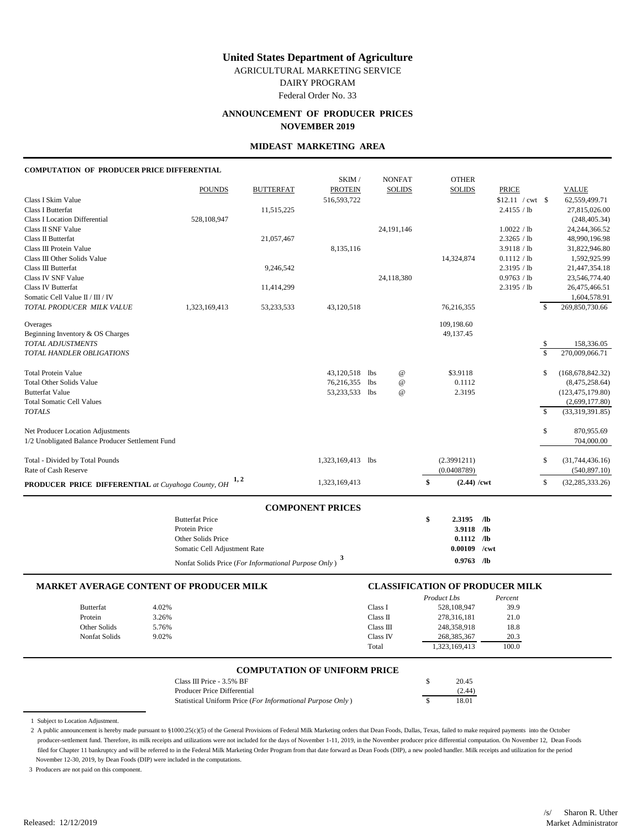AGRICULTURAL MARKETING SERVICE

DAIRY PROGRAM

Federal Order No. 33

## **ANNOUNCEMENT OF PRODUCER PRICES NOVEMBER 2019**

#### **MIDEAST MARKETING AREA**

### **COMPUTATION OF PRODUCER PRICE DIFFERENTIAL**

|                                                               | Protein Price          |                  |                         |                 | \$<br>3.9118 /lb        |                   |              |                                      |
|---------------------------------------------------------------|------------------------|------------------|-------------------------|-----------------|-------------------------|-------------------|--------------|--------------------------------------|
|                                                               | <b>Butterfat Price</b> |                  | <b>COMPONENT PRICES</b> |                 | 2.3195<br>$\sqrt{a}$    |                   |              |                                      |
| PRODUCER PRICE DIFFERENTIAL at Cuyahoga County, OH            | 1, 2                   |                  | 1,323,169,413           |                 | \$<br>$(2.44)$ /cwt     |                   | \$           | (32, 285, 333.26)                    |
| Rate of Cash Reserve                                          |                        |                  |                         |                 | (0.0408789)             |                   |              | (540, 897.10)                        |
| Total - Divided by Total Pounds                               |                        |                  | 1,323,169,413 lbs       |                 | (2.3991211)             |                   | \$           | (31,744,436.16)                      |
| 1/2 Unobligated Balance Producer Settlement Fund              |                        |                  |                         |                 |                         |                   |              | 704,000.00                           |
| Net Producer Location Adjustments                             |                        |                  |                         |                 |                         |                   | \$           | 870,955.69                           |
| <b>TOTALS</b>                                                 |                        |                  |                         |                 |                         |                   | $\mathbb{S}$ | (33,319,391.85)                      |
| <b>Butterfat Value</b><br><b>Total Somatic Cell Values</b>    |                        |                  | 53,233,533 lbs          | $^{\copyright}$ | 2.3195                  |                   |              | (123, 475, 179.80)<br>(2,699,177.80) |
| <b>Total Other Solids Value</b>                               |                        |                  | 76,216,355 lbs          | $^{\copyright}$ | 0.1112                  |                   |              | (8,475,258.64)                       |
| <b>Total Protein Value</b>                                    |                        |                  | 43,120,518 lbs          | $^{\copyright}$ | \$3.9118                |                   | \$           | (168, 678, 842.32)                   |
| TOTAL HANDLER OBLIGATIONS                                     |                        |                  |                         |                 |                         |                   | $\mathbb{S}$ | 270,009,066.71                       |
| <b>TOTAL ADJUSTMENTS</b>                                      |                        |                  |                         |                 |                         |                   | \$           | 158,336.05                           |
| Overages<br>Beginning Inventory & OS Charges                  |                        |                  |                         |                 | 109,198.60<br>49,137.45 |                   |              |                                      |
| TOTAL PRODUCER MILK VALUE                                     | 1,323,169,413          | 53,233,533       | 43,120,518              |                 | 76,216,355              |                   | \$           | 1,604,578.91<br>269,850,730.66       |
| <b>Class IV Butterfat</b><br>Somatic Cell Value II / III / IV |                        | 11,414,299       |                         |                 |                         | 2.3195 / lb       |              | 26,475,466.51                        |
| <b>Class IV SNF Value</b>                                     |                        |                  |                         | 24,118,380      |                         | 0.9763 / lb       |              | 23,546,774.40                        |
| Class III Butterfat                                           |                        | 9,246,542        |                         |                 |                         | 2.3195 / lb       |              | 21,447,354.18                        |
| Class III Other Solids Value                                  |                        |                  |                         |                 | 14,324,874              | 0.1112 / lb       |              | 1,592,925.99                         |
| Class III Protein Value                                       |                        |                  | 8,135,116               |                 |                         | 3.9118 / lb       |              | 31,822,946.80                        |
| Class II Butterfat                                            |                        | 21,057,467       |                         |                 |                         | 2.3265 / lb       |              | 48,990,196.98                        |
| <b>Class I Location Differential</b><br>Class II SNF Value    | 528,108,947            |                  |                         | 24,191,146      |                         | 1.0022 / lb       |              | (248, 405.34)<br>24, 244, 366. 52    |
| <b>Class I Butterfat</b>                                      |                        | 11,515,225       |                         |                 |                         | 2.4155 / lb       |              | 27,815,026.00                        |
| Class I Skim Value                                            |                        |                  | 516,593,722             |                 |                         | $$12.11$ / cwt \$ |              | 62,559,499.71                        |
|                                                               | <b>POUNDS</b>          | <b>BUTTERFAT</b> | <b>PROTEIN</b>          | <b>SOLIDS</b>   | <b>SOLIDS</b>           | <b>PRICE</b>      |              | <b>VALUE</b>                         |
|                                                               |                        |                  | SKIM /                  | <b>NONFAT</b>   | <b>OTHER</b>            |                   |              |                                      |

| Protein Price                                                     | $3.9118$ /lb   |  |
|-------------------------------------------------------------------|----------------|--|
| Other Solids Price                                                | $0.1112$ /lb   |  |
| Somatic Cell Adjustment Rate                                      | $0.00109$ /cwt |  |
| Nonfat Solids Price (For Informational Purpose Only) <sup>3</sup> | $0.9763$ /lb   |  |

| <b>MARKET AVERAGE CONTENT OF PRODUCER MILK</b> |       |           | <b>CLASSIFICATION OF PRODUCER MILK</b> |         |  |  |
|------------------------------------------------|-------|-----------|----------------------------------------|---------|--|--|
|                                                |       |           | Product Lbs                            | Percent |  |  |
| Butterfat                                      | 4.02% | Class I   | 528,108,947                            | 39.9    |  |  |
| Protein                                        | 3.26% | Class II  | 278.316.181                            | 21.0    |  |  |
| Other Solids                                   | 5.76% | Class III | 248,358,918                            | 18.8    |  |  |
| Nonfat Solids                                  | 9.02% | Class IV  | 268, 385, 367                          | 20.3    |  |  |
|                                                |       | Total     | 1,323,169,413                          | 100.0   |  |  |

#### **COMPUTATION OF UNIFORM PRICE**

| Class III Price - $3.5\%$ BF                               | 20.45  |
|------------------------------------------------------------|--------|
| Producer Price Differential                                | (2.44) |
| Statistical Uniform Price (For Informational Purpose Only) | 18.01  |

1 Subject to Location Adjustment.

2 A public announcement is hereby made pursuant to §1000.25(c)(5) of the General Provisions of Federal Milk Marketing orders that Dean Foods, Dallas, Texas, failed to make required payments into the October producer-settlement fund. Therefore, its milk receipts and utilizations were not included for the days of November 1-11, 2019, in the November producer price differential computation. On November 12, Dean Foods filed for Chapter 11 bankruptcy and will be referred to in the Federal Milk Marketing Order Program from that date forward as Dean Foods (DIP), a new pooled handler. Milk receipts and utilization for the period November 12-30, 2019, by Dean Foods (DIP) were included in the computations.